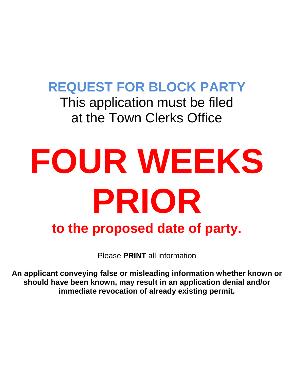# **REQUEST FOR BLOCK PARTY**

This application must be filed at the Town Clerks Office

# **FOUR WEEKS PRIOR to the proposed date of party.**

Please **PRINT** all information

**An applicant conveying false or misleading information whether known or should have been known, may result in an application denial and/or immediate revocation of already existing permit.**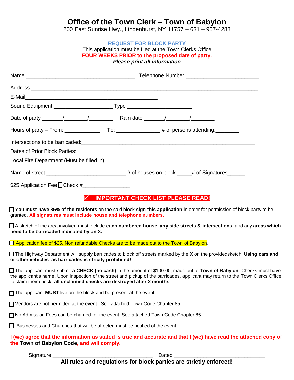## **Office of the Town Clerk – Town of Babylon**

200 East Sunrise Hwy., Lindenhurst, NY 11757 – 631 – 957-4288

#### **REQUEST FOR BLOCK PARTY**

#### This application must be filed at the Town Clerks Office **FOUR WEEKS PRIOR to the proposed date of party.** *Please print all information*

|                               | Intersections to be barricaded:<br><u> and</u> the contract of the contract of the contract of the contract of the contract of the contract of the contract of the contract of the contract of the contract of the contract of the co |  |  |
|-------------------------------|---------------------------------------------------------------------------------------------------------------------------------------------------------------------------------------------------------------------------------------|--|--|
|                               |                                                                                                                                                                                                                                       |  |  |
|                               |                                                                                                                                                                                                                                       |  |  |
|                               | Name of street ________________________________# of houses on block _____# of Signatures______                                                                                                                                        |  |  |
| \$25 Application Fee CCheck # |                                                                                                                                                                                                                                       |  |  |

## **IMPORTANT CHECK LIST PLEASE READ!**

 **You must have 85% of the residents** on the said block **sign this application** in order for permission of block party to be granted. **All signatures must include house and telephone numbers**.

 A sketch of the area involved must include **each numbered house, any side streets & intersections,** and any **areas which need to be barricaded indicated by an X.** 

**<u>Application fee of \$25. Non refundable Checks are to be made out to the Town of Babylon</u>.** 

 The Highway Department will supply barricades to block off streets marked by the **X** on the providedsketch. **Using cars and or other vehicles as barricades is strictly prohibited!**

 The applicant must submit a **CHECK (no cash)** in the amount of \$100.00, made out to **Town of Babylon**. Checks must have the applicant's name. Upon inspection of the street and pickup of the barricades, applicant may return to the Town Clerks Office to claim their check, **all unclaimed checks are destroyed after 2 months**.

□ The applicant **MUST** live on the block and be present at the event.

Vendors are not permitted at the event. See attached Town Code Chapter 85

No Admission Fees can be charged for the event. See attached Town Code Chapter 85

Businesses and Churches that will be affected must be notified of the event.

### **I (we) agree that the information as stated is true and accurate and that I (we) have read the attached copy of the Town of Babylon Code, and will comply.**

Signature \_\_\_\_\_\_\_\_\_\_\_\_\_\_\_\_\_\_\_\_\_\_\_\_\_\_\_\_\_\_\_\_\_\_ Dated \_\_\_\_\_\_\_\_\_\_\_\_\_\_\_\_\_\_\_\_\_\_\_\_\_\_\_\_\_\_\_

**All rules and regulations for block parties are strictly enforced!**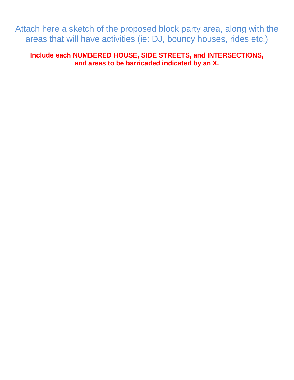Attach here a sketch of the proposed block party area, along with the areas that will have activities (ie: DJ, bouncy houses, rides etc.)

**Include each NUMBERED HOUSE, SIDE STREETS, and INTERSECTIONS, and areas to be barricaded indicated by an X.**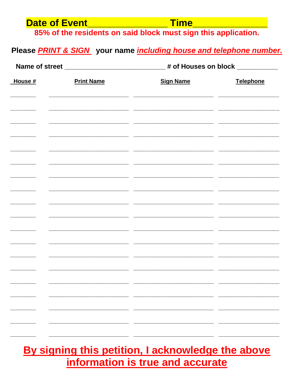| <b>Date of Event</b><br>Time <b>The Communist Property Figure</b><br><u> 1990 - Johann Barnett, fransk konge</u><br>85% of the residents on said block must sign this application.<br>Please <b>PRINT &amp; SIGN</b> your name <i>including house and telephone number.</i> |                   |                                                                                  |                  |  |
|-----------------------------------------------------------------------------------------------------------------------------------------------------------------------------------------------------------------------------------------------------------------------------|-------------------|----------------------------------------------------------------------------------|------------------|--|
|                                                                                                                                                                                                                                                                             |                   | Name of street _______________________________# of Houses on block _____________ |                  |  |
| House #                                                                                                                                                                                                                                                                     | <b>Print Name</b> | <b>Sign Name</b>                                                                 | <b>Telephone</b> |  |
|                                                                                                                                                                                                                                                                             |                   |                                                                                  |                  |  |
|                                                                                                                                                                                                                                                                             |                   |                                                                                  |                  |  |
|                                                                                                                                                                                                                                                                             |                   |                                                                                  |                  |  |
|                                                                                                                                                                                                                                                                             |                   |                                                                                  |                  |  |
|                                                                                                                                                                                                                                                                             |                   |                                                                                  |                  |  |
|                                                                                                                                                                                                                                                                             |                   |                                                                                  |                  |  |
|                                                                                                                                                                                                                                                                             |                   |                                                                                  |                  |  |
|                                                                                                                                                                                                                                                                             |                   |                                                                                  |                  |  |
|                                                                                                                                                                                                                                                                             |                   |                                                                                  |                  |  |
|                                                                                                                                                                                                                                                                             |                   |                                                                                  |                  |  |

# By signing this petition, I acknowledge the above information is true and accurate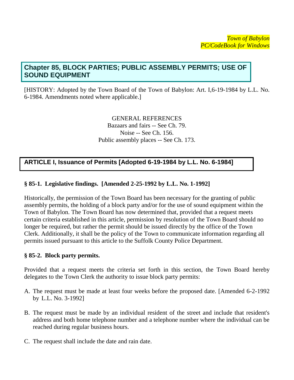## **Chapter 85, BLOCK PARTIES; PUBLIC ASSEMBLY PERMITS; USE OF SOUND EQUIPMENT**

[HISTORY: Adopted by the Town Board of the Town of Babylon: Art. I,6-19-1984 by L.L. No. 6-1984. Amendments noted where applicable.]

> GENERAL REFERENCES Bazaars and fairs -- See Ch. 79. Noise -- See Ch. 156. Public assembly places -- See Ch. 173.

## **ARTICLE I, Issuance of Permits [Adopted 6-19-1984 by L.L. No. 6-1984]**

## **§ 85-1. Legislative findings. [Amended 2-25-1992 by L.L. No. 1-1992]**

Historically, the permission of the Town Board has been necessary for the granting of public assembly permits, the holding of a block party and/or for the use of sound equipment within the Town of Babylon. The Town Board has now determined that, provided that a request meets certain criteria established in this article, permission by resolution of the Town Board should no longer be required, but rather the permit should be issued directly by the office of the Town Clerk. Additionally, it shall be the policy of the Town to communicate information regarding all permits issued pursuant to this article to the Suffolk County Police Department.

## **§ 85-2. Block party permits.**

Provided that a request meets the criteria set forth in this section, the Town Board hereby delegates to the Town Clerk the authority to issue block party permits:

- A. The request must be made at least four weeks before the proposed date. [Amended 6-2-1992 by L.L. No. 3-1992]
- B. The request must be made by an individual resident of the street and include that resident's address and both home telephone number and a telephone number where the individual can be reached during regular business hours.
- C. The request shall include the date and rain date.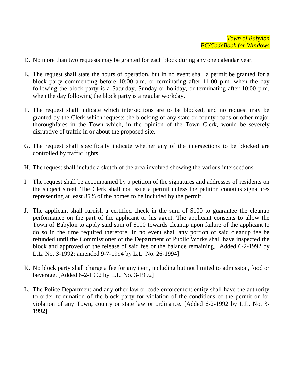- D. No more than two requests may be granted for each block during any one calendar year.
- E. The request shall state the hours of operation, but in no event shall a permit be granted for a block party commencing before 10:00 a.m. or terminating after 11:00 p.m. when the day following the block party is a Saturday, Sunday or holiday, or terminating after 10:00 p.m. when the day following the block party is a regular workday.
- F. The request shall indicate which intersections are to be blocked, and no request may be granted by the Clerk which requests the blocking of any state or county roads or other major thoroughfares in the Town which, in the opinion of the Town Clerk, would be severely disruptive of traffic in or about the proposed site.
- G. The request shall specifically indicate whether any of the intersections to be blocked are controlled by traffic lights.
- H. The request shall include a sketch of the area involved showing the various intersections.
- I. The request shall be accompanied by a petition of the signatures and addresses of residents on the subject street. The Clerk shall not issue a permit unless the petition contains signatures representing at least 85% of the homes to be included by the permit.
- J. The applicant shall furnish a certified check in the sum of \$100 to guarantee the cleanup performance on the part of the applicant or his agent. The applicant consents to allow the Town of Babylon to apply said sum of \$100 towards cleanup upon failure of the applicant to do so in the time required therefore. In no event shall any portion of said cleanup fee be refunded until the Commissioner of the Department of Public Works shall have inspected the block and approved of the release of said fee or the balance remaining. [Added 6-2-1992 by L.L. No. 3-1992; amended 9-7-1994 by L.L. No. 26-1994]
- K. No block party shall charge a fee for any item, including but not limited to admission, food or beverage. [Added 6-2-1992 by L.L. No. 3-1992]
- L. The Police Department and any other law or code enforcement entity shall have the authority to order termination of the block party for violation of the conditions of the permit or for violation of any Town, county or state law or ordinance. [Added 6-2-1992 by L.L. No. 3- 1992]